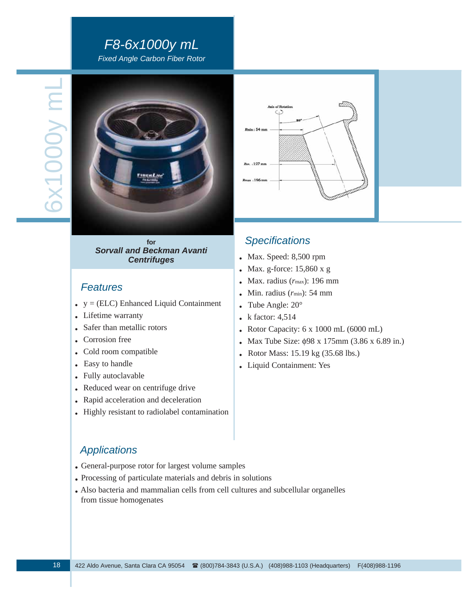# *F8-6x1000y mL Fixed Angle Carbon Fiber Rotor*





**for** *Sorvall and Beckman Avanti Centrifuges*

### *Features*

- $\bullet$  y = (ELC) Enhanced Liquid Containment
- . Lifetime warranty
- . Safer than metallic rotors
- . Corrosion free
- . Cold room compatible
- . Easy to handle
- . Fully autoclavable
- . Reduced wear on centrifuge drive
- . Rapid acceleration and deceleration
- . Highly resistant to radiolabel contamination

## *Specifications*

- . Max. Speed: 8,500 rpm
- . Max. g-force: 15,860 x g
- . Max. radius (*r*max): 196 mm
- . Min. radius (*r*min): 54 mm
- . Tube Angle: 20°
- $\cdot$  k factor: 4,514
- . Rotor Capacity: 6 x 1000 mL (6000 mL)
- . Max Tube Size: φ98 x 175mm (3.86 x 6.89 in.)
- Rotor Mass: 15.19 kg (35.68 lbs.)
- . Liquid Containment: Yes

### *Applications*

- . General-purpose rotor for largest volume samples
- . Processing of particulate materials and debris in solutions
- . Also bacteria and mammalian cells from cell cultures and subcellular organelles from tissue homogenates